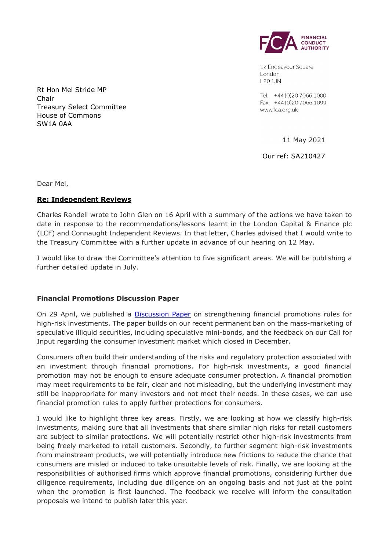

12 Endeavour Square London E201JN

Tel: +44 (0) 20 7066 1000 Fax: +44 (0) 20 7066 1099 www.fca.org.uk

11 May 2021

Our ref: SA210427

Rt Hon Mel Stride MP Chair Treasury Select Committee House of Commons SW1A 0AA

Dear Mel,

#### **Re: Independent Reviews**

Charles Randell wrote to John Glen on 16 April with a summary of the actions we have taken to date in response to the recommendations/lessons learnt in the London Capital & Finance plc (LCF) and Connaught Independent Reviews. In that letter, Charles advised that I would write to the Treasury Committee with a further update in advance of our hearing on 12 May.

I would like to draw the Committee's attention to five significant areas. We will be publishing a further detailed update in July.

## **Financial Promotions Discussion Paper**

On 29 April, we published a **Discussion Paper** on strengthening financial promotions rules for high-risk investments. The paper builds on our recent permanent ban on the mass-marketing of speculative illiquid securities, including speculative mini-bonds, and the feedback on our Call for Input regarding the consumer investment market which closed in December.

Consumers often build their understanding of the risks and regulatory protection associated with an investment through financial promotions. For high-risk investments, a good financial promotion may not be enough to ensure adequate consumer protection. A financial promotion may meet requirements to be fair, clear and not misleading, but the underlying investment may still be inappropriate for many investors and not meet their needs. In these cases, we can use financial promotion rules to apply further protections for consumers.

I would like to highlight three key areas. Firstly, we are looking at how we classify high-risk investments, making sure that all investments that share similar high risks for retail customers are subject to similar protections. We will potentially restrict other high-risk investments from being freely marketed to retail customers. Secondly, to further segment high-risk investments from mainstream products, we will potentially introduce new frictions to reduce the chance that consumers are misled or induced to take unsuitable levels of risk. Finally, we are looking at the responsibilities of authorised firms which approve financial promotions, considering further due diligence requirements, including due diligence on an ongoing basis and not just at the point when the promotion is first launched. The feedback we receive will inform the consultation proposals we intend to publish later this year.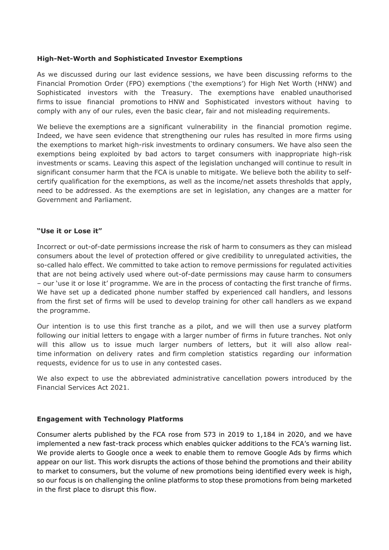### **High-Net-Worth and Sophisticated Investor Exemptions**

As we discussed during our last evidence sessions, we have been discussing reforms to the Financial Promotion Order (FPO) exemptions ('the exemptions') for High Net Worth (HNW) and Sophisticated investors with the Treasury. The exemptions have enabled unauthorised firms to issue financial promotions to HNW and Sophisticated investors without having to comply with any of our rules, even the basic clear, fair and not misleading requirements.

We believe the exemptions are a significant vulnerability in the financial promotion regime. Indeed, we have seen evidence that strengthening our rules has resulted in more firms using the exemptions to market high-risk investments to ordinary consumers. We have also seen the exemptions being exploited by bad actors to target consumers with inappropriate high-risk investments or scams. Leaving this aspect of the legislation unchanged will continue to result in significant consumer harm that the FCA is unable to mitigate. We believe both the ability to selfcertify qualification for the exemptions, as well as the income/net assets thresholds that apply, need to be addressed. As the exemptions are set in legislation, any changes are a matter for Government and Parliament.

#### **"Use it or Lose it"**

Incorrect or out-of-date permissions increase the risk of harm to consumers as they can mislead consumers about the level of protection offered or give credibility to unregulated activities, the so-called halo effect. We committed to take action to remove permissions for regulated activities that are not being actively used where out-of-date permissions may cause harm to consumers – our 'use it or lose it' programme. We are in the process of contacting the first tranche of firms. We have set up a dedicated phone number staffed by experienced call handlers, and lessons from the first set of firms will be used to develop training for other call handlers as we expand the programme.

Our intention is to use this first tranche as a pilot, and we will then use a survey platform following our initial letters to engage with a larger number of firms in future tranches. Not only will this allow us to issue much larger numbers of letters, but it will also allow realtime information on delivery rates and firm completion statistics regarding our information requests, evidence for us to use in any contested cases.

We also expect to use the abbreviated administrative cancellation powers introduced by the Financial Services Act 2021.

## **Engagement with Technology Platforms**

Consumer alerts published by the FCA rose from 573 in 2019 to 1,184 in 2020, and we have implemented a new fast-track process which enables quicker additions to the FCA's warning list. We provide alerts to Google once a week to enable them to remove Google Ads by firms which appear on our list. This work disrupts the actions of those behind the promotions and their ability to market to consumers, but the volume of new promotions being identified every week is high, so our focus is on challenging the online platforms to stop these promotions from being marketed in the first place to disrupt this flow.